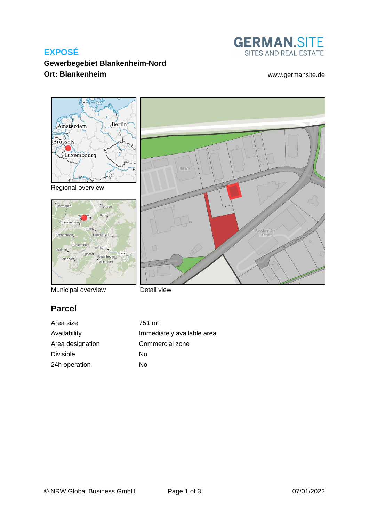# **EXPOSÉ**



assbender<br>Tenten

# **Gewerbegebiet Blankenheim-Nord Ort: Blankenheim** [www.germansite.de](http://www.germansite.de)



Regional overview



Municipal overview

Detail view

# **Parcel**

Area size 751 m<sup>2</sup> Area designation Commercial zone Divisible No 24h operation No

Availability **Immediately** available area

REWE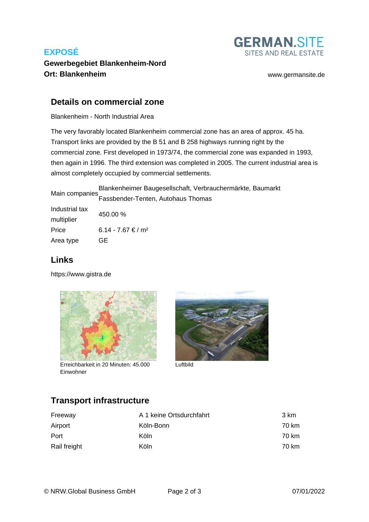# **EXPOSÉ**



## **Gewerbegebiet Blankenheim-Nord Ort: Blankenheim** [www.germansite.de](http://www.germansite.de)

### **Details on commercial zone**

Blankenheim - North Industrial Area

The very favorably located Blankenheim commercial zone has an area of approx. 45 ha. Transport links are provided by the B 51 and B 258 highways running right by the commercial zone. First developed in 1973/74, the commercial zone was expanded in 1993, then again in 1996. The third extension was completed in 2005. The current industrial area is almost completely occupied by commercial settlements.

Main companies Blankenheimer Baugesellschaft, Verbrauchermärkte, Baumarkt Fassbender-Tenten, Autohaus Thomas

| Industrial tax | 450.00 %                       |  |
|----------------|--------------------------------|--|
| multiplier     |                                |  |
| Price          | 6.14 - 7.67 € / m <sup>2</sup> |  |
| Area type      | GE                             |  |

## **Links**

<https://www.gistra.de>



Erreichbarkeit in 20 Minuten: 45.000 Luftbild Einwohner



# **Transport infrastructure**

| Freeway      | A 1 keine Ortsdurchfahrt | 3 km  |
|--------------|--------------------------|-------|
| Airport      | Köln-Bonn                | 70 km |
| Port         | Köln                     | 70 km |
| Rail freight | Köln                     | 70 km |